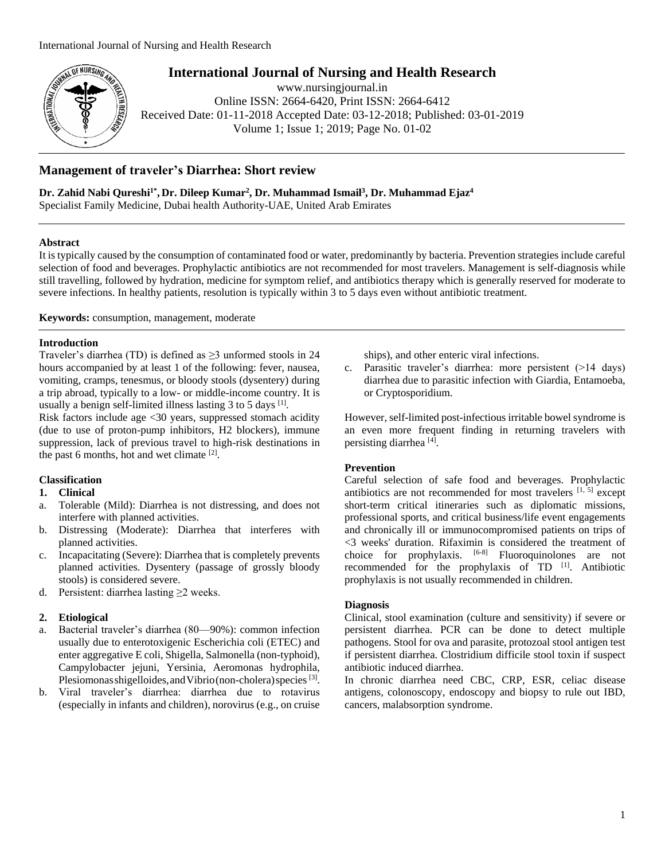

# **International Journal of Nursing and Health Research**

www.nursingjournal.in Online ISSN: 2664-6420, Print ISSN: 2664-6412 Received Date: 01-11-2018 Accepted Date: 03-12-2018; Published: 03-01-2019 Volume 1; Issue 1; 2019; Page No. 01-02

## **Management of traveler's Diarrhea: Short review**

**Dr. Zahid Nabi Qureshi1\* , Dr. Dileep Kumar<sup>2</sup> , Dr. Muhammad Ismail<sup>3</sup> , Dr. Muhammad Ejaz<sup>4</sup>**

Specialist Family Medicine, Dubai health Authority-UAE, United Arab Emirates

## **Abstract**

It is typically caused by the consumption of contaminated food or water, predominantly by bacteria. Prevention strategies include careful selection of food and beverages. Prophylactic antibiotics are not recommended for most travelers. Management is self-diagnosis while still travelling, followed by hydration, medicine for symptom relief, and antibiotics therapy which is generally reserved for moderate to severe infections. In healthy patients, resolution is typically within 3 to 5 days even without antibiotic treatment.

**Keywords:** consumption, management, moderate

## **Introduction**

Traveler's diarrhea (TD) is defined as ≥3 unformed stools in 24 hours accompanied by at least 1 of the following: fever, nausea, vomiting, cramps, tenesmus, or bloody stools (dysentery) during a trip abroad, typically to a low- or middle-income country. It is usually a benign self-limited illness lasting  $3$  to  $5$  days  $^{[1]}$ .

Risk factors include age <30 years, suppressed stomach acidity (due to use of proton-pump inhibitors, H2 blockers), immune suppression, lack of previous travel to high-risk destinations in the past 6 months, hot and wet climate [2].

## **Classification**

## **1. Clinical**

- a. Tolerable (Mild): Diarrhea is not distressing, and does not interfere with planned activities.
- b. Distressing (Moderate): Diarrhea that interferes with planned activities.
- c. Incapacitating (Severe): Diarrhea that is completely prevents planned activities. Dysentery (passage of grossly bloody stools) is considered severe.
- d. Persistent: diarrhea lasting  $\geq 2$  weeks.

## **2. Etiological**

- Bacterial traveler's diarrhea (80—90%): common infection usually due to enterotoxigenic Escherichia coli (ETEC) and enter aggregative E coli, Shigella, Salmonella (non-typhoid), Campylobacter jejuni, Yersinia, Aeromonas hydrophila, Plesiomonas shigelloides, and Vibrio (non-cholera) species [3].
- b. Viral traveler's diarrhea: diarrhea due to rotavirus (especially in infants and children), norovirus (e.g., on cruise

ships), and other enteric viral infections.

c. Parasitic traveler's diarrhea: more persistent (>14 days) diarrhea due to parasitic infection with Giardia, Entamoeba, or Cryptosporidium.

However, self-limited post-infectious irritable bowel syndrome is an even more frequent finding in returning travelers with persisting diarrhea<sup>[4]</sup>.

## **Prevention**

Careful selection of safe food and beverages. Prophylactic antibiotics are not recommended for most travelers  $[1, 5]$  except short-term critical itineraries such as diplomatic missions, professional sports, and critical business/life event engagements and chronically ill or immunocompromised patients on trips of <3 weeks' duration. Rifaximin is considered the treatment of choice for prophylaxis. [6-8] Fluoroquinolones are not recommended for the prophylaxis of TD <sup>[1]</sup>. Antibiotic prophylaxis is not usually recommended in children.

## **Diagnosis**

Clinical, stool examination (culture and sensitivity) if severe or persistent diarrhea. PCR can be done to detect multiple pathogens. Stool for ova and parasite, protozoal stool antigen test if persistent diarrhea. Clostridium difficile stool toxin if suspect antibiotic induced diarrhea.

In chronic diarrhea need CBC, CRP, ESR, celiac disease antigens, colonoscopy, endoscopy and biopsy to rule out IBD, cancers, malabsorption syndrome.